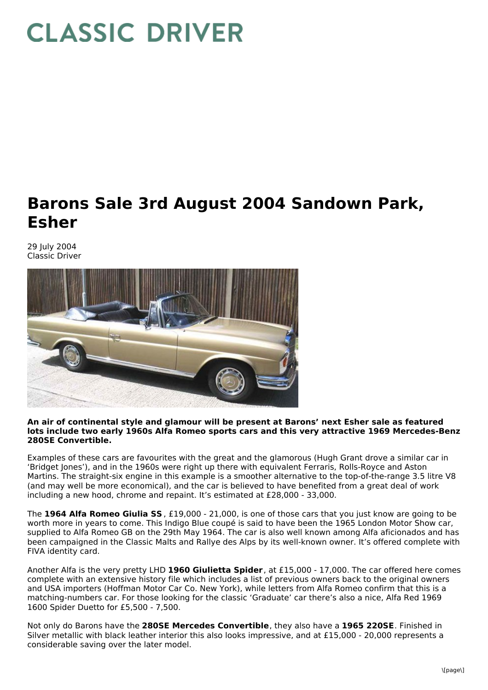## **CLASSIC DRIVER**

## **Barons Sale 3rd August 2004 Sandown Park, Esher**

29 July 2004 Classic Driver



## **An air of continental style and glamour will be present at Barons' next Esher sale as featured lots include two early 1960s Alfa Romeo sports cars and this very attractive 1969 Mercedes-Benz 280SE Convertible.**

Examples of these cars are favourites with the great and the glamorous (Hugh Grant drove a similar car in 'Bridget Jones'), and in the 1960s were right up there with equivalent Ferraris, Rolls-Royce and Aston Martins. The straight-six engine in this example is a smoother alternative to the top-of-the-range 3.5 litre V8 (and may well be more economical), and the car is believed to have benefited from a great deal of work including a new hood, chrome and repaint. It's estimated at £28,000 - 33,000.

The **1964 Alfa Romeo Giulia SS** , £19,000 - 21,000, is one of those cars that you just know are going to be worth more in years to come. This Indigo Blue coupé is said to have been the 1965 London Motor Show car, supplied to Alfa Romeo GB on the 29th May 1964. The car is also well known among Alfa aficionados and has been campaigned in the Classic Malts and Rallye des Alps by its well-known owner. It's offered complete with FIVA identity card.

Another Alfa is the very pretty LHD **1960 Giulietta Spider**, at £15,000 - 17,000. The car offered here comes complete with an extensive history file which includes a list of previous owners back to the original owners and USA importers (Hoffman Motor Car Co. New York), while letters from Alfa Romeo confirm that this is a matching-numbers car. For those looking for the classic 'Graduate' car there's also a nice, Alfa Red 1969 1600 Spider Duetto for £5,500 - 7,500.

Not only do Barons have the **280SE Mercedes Convertible**, they also have a **1965 220SE**. Finished in Silver metallic with black leather interior this also looks impressive, and at £15,000 - 20,000 represents a considerable saving over the later model.